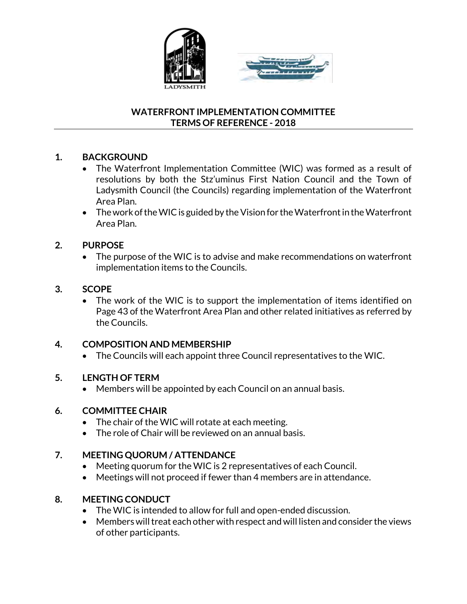



### **WATERFRONT IMPLEMENTATION COMMITTEE TERMS OF REFERENCE - 2018**

# **1. BACKGROUND**

- The Waterfront Implementation Committee (WIC) was formed as a result of resolutions by both the Stz'uminus First Nation Council and the Town of Ladysmith Council (the Councils) regarding implementation of the Waterfront Area Plan.
- $\bullet$  The work of the WIC is guided by the Vision for the Waterfront in the Waterfront Area Plan.

## **2. PURPOSE**

• The purpose of the WIC is to advise and make recommendations on waterfront implementation items to the Councils.

### **3. SCOPE**

• The work of the WIC is to support the implementation of items identified on Page 43 of the Waterfront Area Plan and other related initiatives as referred by the Councils.

## **4. COMPOSITION AND MEMBERSHIP**

The Councils will each appoint three Council representatives to the WIC.

### **5. LENGTH OF TERM**

Members will be appointed by each Council on an annual basis.

### **6. COMMITTEE CHAIR**

- The chair of the WIC will rotate at each meeting.
- The role of Chair will be reviewed on an annual basis.

### **7. MEETING QUORUM / ATTENDANCE**

- Meeting quorum for the WIC is 2 representatives of each Council.
- Meetings will not proceed if fewer than 4 members are in attendance.

## **8. MEETING CONDUCT**

- The WIC is intended to allow for full and open-ended discussion.
- Members will treat each other with respect and will listen and consider the views of other participants.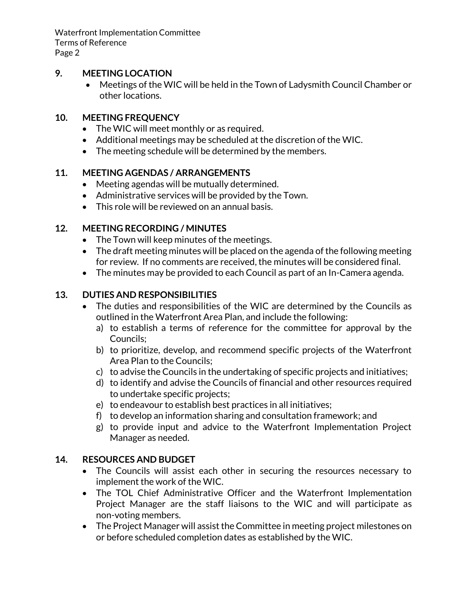Waterfront Implementation Committee Terms of Reference Page 2

### **9. MEETING LOCATION**

 Meetings of the WIC will be held in the Town of Ladysmith Council Chamber or other locations.

#### **10. MEETING FREQUENCY**

- The WIC will meet monthly or as required.
- Additional meetings may be scheduled at the discretion of the WIC.
- The meeting schedule will be determined by the members.

### **11. MEETING AGENDAS / ARRANGEMENTS**

- Meeting agendas will be mutually determined.
- Administrative services will be provided by the Town.
- This role will be reviewed on an annual basis.

### **12. MEETING RECORDING / MINUTES**

- The Town will keep minutes of the meetings.
- The draft meeting minutes will be placed on the agenda of the following meeting for review. If no comments are received, the minutes will be considered final.
- The minutes may be provided to each Council as part of an In-Camera agenda.

### **13. DUTIES AND RESPONSIBILITIES**

- The duties and responsibilities of the WIC are determined by the Councils as outlined in the Waterfront Area Plan, and include the following:
	- a) to establish a terms of reference for the committee for approval by the Councils;
	- b) to prioritize, develop, and recommend specific projects of the Waterfront Area Plan to the Councils;
	- c) to advise the Councils in the undertaking of specific projects and initiatives;
	- d) to identify and advise the Councils of financial and other resources required to undertake specific projects;
	- e) to endeavour to establish best practices in all initiatives;
	- f) to develop an information sharing and consultation framework; and
	- g) to provide input and advice to the Waterfront Implementation Project Manager as needed.

### **14. RESOURCES AND BUDGET**

- The Councils will assist each other in securing the resources necessary to implement the work of the WIC.
- The TOL Chief Administrative Officer and the Waterfront Implementation Project Manager are the staff liaisons to the WIC and will participate as non-voting members.
- The Project Manager will assist the Committee in meeting project milestones on or before scheduled completion dates as established by the WIC.